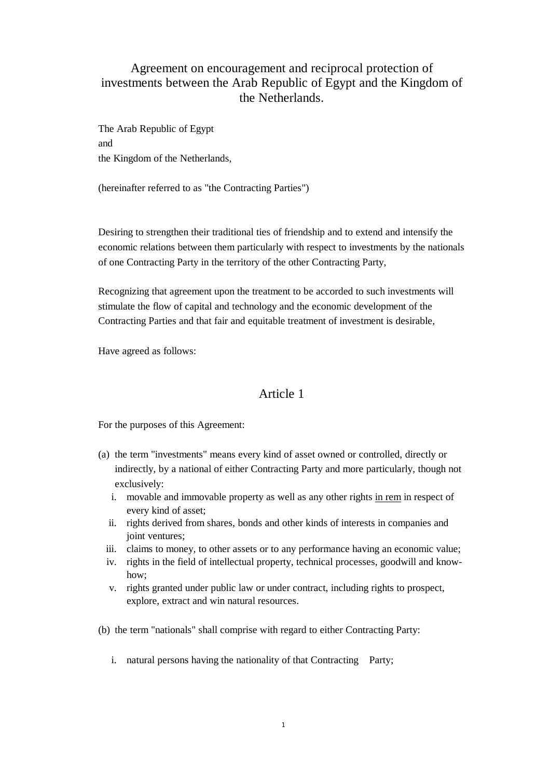# Agreement on encouragement and reciprocal protection of investments between the Arab Republic of Egypt and the Kingdom of the Netherlands.

The Arab Republic of Egypt and the Kingdom of the Netherlands,

(hereinafter referred to as "the Contracting Parties")

Desiring to strengthen their traditional ties of friendship and to extend and intensify the economic relations between them particularly with respect to investments by the nationals of one Contracting Party in the territory of the other Contracting Party,

Recognizing that agreement upon the treatment to be accorded to such investments will stimulate the flow of capital and technology and the economic development of the Contracting Parties and that fair and equitable treatment of investment is desirable,

Have agreed as follows:

# Article 1

For the purposes of this Agreement:

- (a) the term "investments" means every kind of asset owned or controlled, directly or indirectly, by a national of either Contracting Party and more particularly, though not exclusively:
	- i. movable and immovable property as well as any other rights in rem in respect of every kind of asset;
	- ii. rights derived from shares, bonds and other kinds of interests in companies and joint ventures;
	- iii. claims to money, to other assets or to any performance having an economic value;
	- iv. rights in the field of intellectual property, technical processes, goodwill and knowhow;
	- v. rights granted under public law or under contract, including rights to prospect, explore, extract and win natural resources.
- (b) the term "nationals" shall comprise with regard to either Contracting Party:
	- i. natural persons having the nationality of that Contracting Party;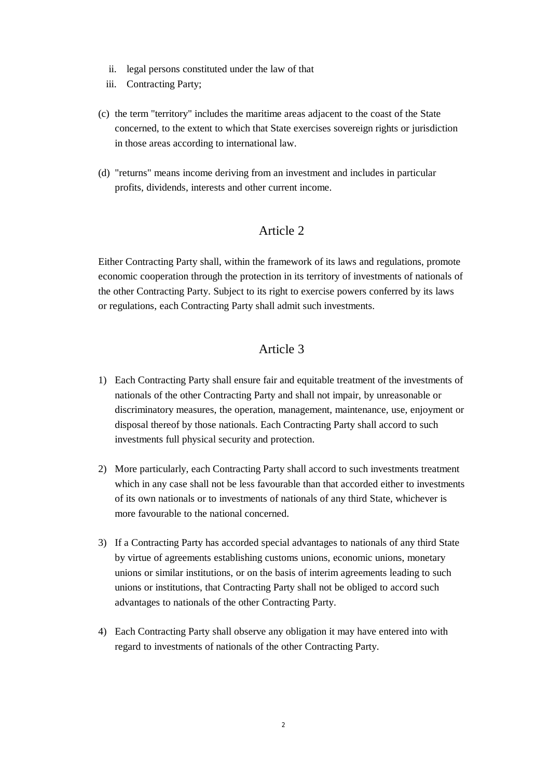- ii. legal persons constituted under the law of that
- iii. Contracting Party;
- (c) the term "territory" includes the maritime areas adjacent to the coast of the State concerned, to the extent to which that State exercises sovereign rights or jurisdiction in those areas according to international law.
- (d) "returns" means income deriving from an investment and includes in particular profits, dividends, interests and other current income.

Either Contracting Party shall, within the framework of its laws and regulations, promote economic cooperation through the protection in its territory of investments of nationals of the other Contracting Party. Subject to its right to exercise powers conferred by its laws or regulations, each Contracting Party shall admit such investments.

# Article 3

- 1) Each Contracting Party shall ensure fair and equitable treatment of the investments of nationals of the other Contracting Party and shall not impair, by unreasonable or discriminatory measures, the operation, management, maintenance, use, enjoyment or disposal thereof by those nationals. Each Contracting Party shall accord to such investments full physical security and protection.
- 2) More particularly, each Contracting Party shall accord to such investments treatment which in any case shall not be less favourable than that accorded either to investments of its own nationals or to investments of nationals of any third State, whichever is more favourable to the national concerned.
- 3) If a Contracting Party has accorded special advantages to nationals of any third State by virtue of agreements establishing customs unions, economic unions, monetary unions or similar institutions, or on the basis of interim agreements leading to such unions or institutions, that Contracting Party shall not be obliged to accord such advantages to nationals of the other Contracting Party.
- 4) Each Contracting Party shall observe any obligation it may have entered into with regard to investments of nationals of the other Contracting Party.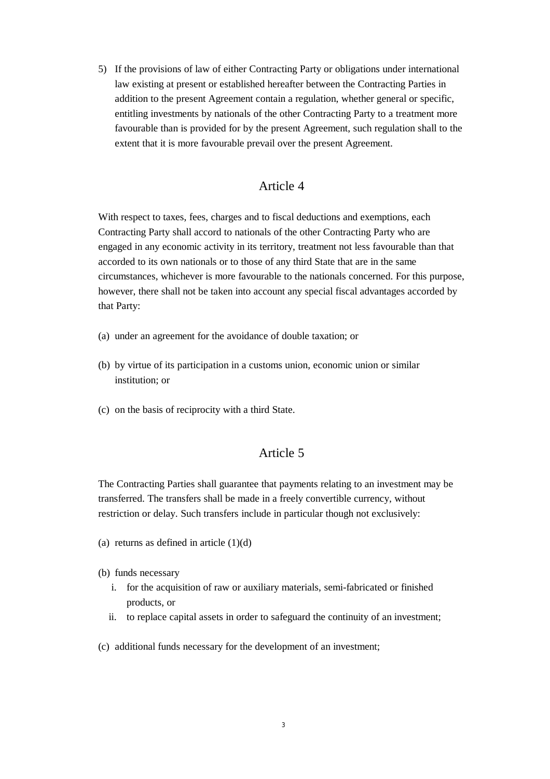5) If the provisions of law of either Contracting Party or obligations under international law existing at present or established hereafter between the Contracting Parties in addition to the present Agreement contain a regulation, whether general or specific, entitling investments by nationals of the other Contracting Party to a treatment more favourable than is provided for by the present Agreement, such regulation shall to the extent that it is more favourable prevail over the present Agreement.

#### Article 4

With respect to taxes, fees, charges and to fiscal deductions and exemptions, each Contracting Party shall accord to nationals of the other Contracting Party who are engaged in any economic activity in its territory, treatment not less favourable than that accorded to its own nationals or to those of any third State that are in the same circumstances, whichever is more favourable to the nationals concerned. For this purpose, however, there shall not be taken into account any special fiscal advantages accorded by that Party:

- (a) under an agreement for the avoidance of double taxation; or
- (b) by virtue of its participation in a customs union, economic union or similar institution; or
- (c) on the basis of reciprocity with a third State.

### Article 5

The Contracting Parties shall guarantee that payments relating to an investment may be transferred. The transfers shall be made in a freely convertible currency, without restriction or delay. Such transfers include in particular though not exclusively:

- (a) returns as defined in article  $(1)(d)$
- (b) funds necessary
	- i. for the acquisition of raw or auxiliary materials, semi-fabricated or finished products, or
	- ii. to replace capital assets in order to safeguard the continuity of an investment;
- (c) additional funds necessary for the development of an investment;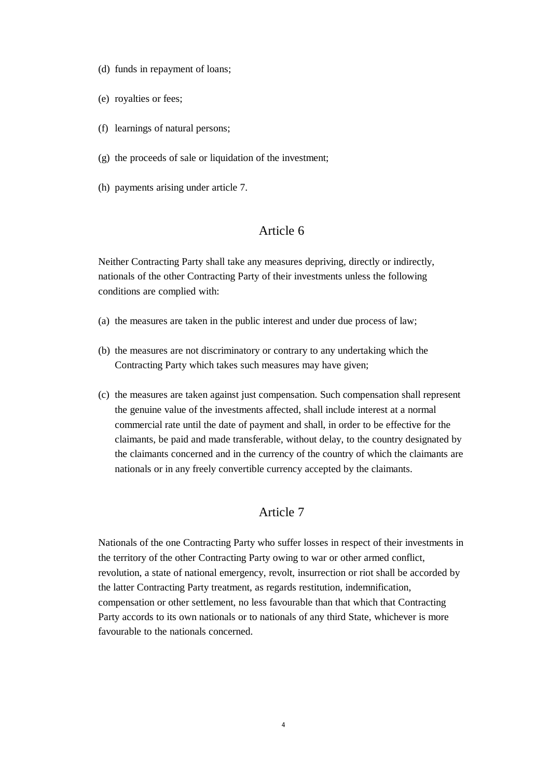- (d) funds in repayment of loans;
- (e) royalties or fees;
- (f) learnings of natural persons;
- $(g)$  the proceeds of sale or liquidation of the investment:
- (h) payments arising under article 7.

Neither Contracting Party shall take any measures depriving, directly or indirectly, nationals of the other Contracting Party of their investments unless the following conditions are complied with:

- (a) the measures are taken in the public interest and under due process of law;
- (b) the measures are not discriminatory or contrary to any undertaking which the Contracting Party which takes such measures may have given;
- (c) the measures are taken against just compensation. Such compensation shall represent the genuine value of the investments affected, shall include interest at a normal commercial rate until the date of payment and shall, in order to be effective for the claimants, be paid and made transferable, without delay, to the country designated by the claimants concerned and in the currency of the country of which the claimants are nationals or in any freely convertible currency accepted by the claimants.

### Article 7

Nationals of the one Contracting Party who suffer losses in respect of their investments in the territory of the other Contracting Party owing to war or other armed conflict, revolution, a state of national emergency, revolt, insurrection or riot shall be accorded by the latter Contracting Party treatment, as regards restitution, indemnification, compensation or other settlement, no less favourable than that which that Contracting Party accords to its own nationals or to nationals of any third State, whichever is more favourable to the nationals concerned.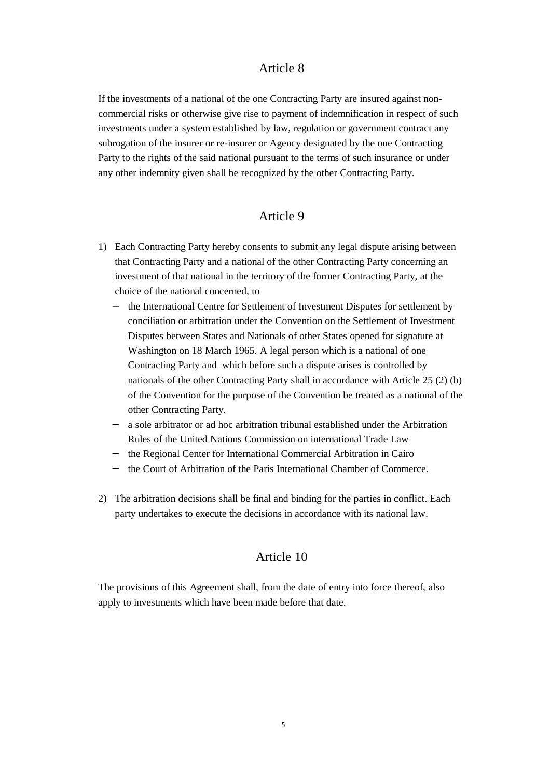If the investments of a national of the one Contracting Party are insured against noncommercial risks or otherwise give rise to payment of indemnification in respect of such investments under a system established by law, regulation or government contract any subrogation of the insurer or re-insurer or Agency designated by the one Contracting Party to the rights of the said national pursuant to the terms of such insurance or under any other indemnity given shall be recognized by the other Contracting Party.

### Article 9

- 1) Each Contracting Party hereby consents to submit any legal dispute arising between that Contracting Party and a national of the other Contracting Party concerning an investment of that national in the territory of the former Contracting Party, at the choice of the national concerned, to
	- − the International Centre for Settlement of Investment Disputes for settlement by conciliation or arbitration under the Convention on the Settlement of Investment Disputes between States and Nationals of other States opened for signature at Washington on 18 March 1965. A legal person which is a national of one Contracting Party and which before such a dispute arises is controlled by nationals of the other Contracting Party shall in accordance with Article 25 (2) (b) of the Convention for the purpose of the Convention be treated as a national of the other Contracting Party.
	- a sole arbitrator or ad hoc arbitration tribunal established under the Arbitration Rules of the United Nations Commission on international Trade Law
	- − the Regional Center for International Commercial Arbitration in Cairo
	- − the Court of Arbitration of the Paris International Chamber of Commerce.
- 2) The arbitration decisions shall be final and binding for the parties in conflict. Each party undertakes to execute the decisions in accordance with its national law.

#### Article 10

The provisions of this Agreement shall, from the date of entry into force thereof, also apply to investments which have been made before that date.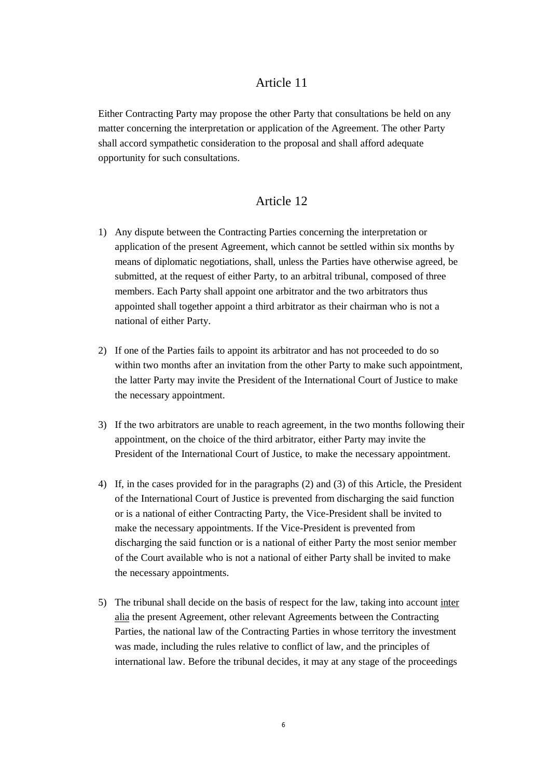Either Contracting Party may propose the other Party that consultations be held on any matter concerning the interpretation or application of the Agreement. The other Party shall accord sympathetic consideration to the proposal and shall afford adequate opportunity for such consultations.

#### Article 12

- 1) Any dispute between the Contracting Parties concerning the interpretation or application of the present Agreement, which cannot be settled within six months by means of diplomatic negotiations, shall, unless the Parties have otherwise agreed, be submitted, at the request of either Party, to an arbitral tribunal, composed of three members. Each Party shall appoint one arbitrator and the two arbitrators thus appointed shall together appoint a third arbitrator as their chairman who is not a national of either Party.
- 2) If one of the Parties fails to appoint its arbitrator and has not proceeded to do so within two months after an invitation from the other Party to make such appointment, the latter Party may invite the President of the International Court of Justice to make the necessary appointment.
- 3) If the two arbitrators are unable to reach agreement, in the two months following their appointment, on the choice of the third arbitrator, either Party may invite the President of the International Court of Justice, to make the necessary appointment.
- 4) If, in the cases provided for in the paragraphs (2) and (3) of this Article, the President of the International Court of Justice is prevented from discharging the said function or is a national of either Contracting Party, the Vice-President shall be invited to make the necessary appointments. If the Vice-President is prevented from discharging the said function or is a national of either Party the most senior member of the Court available who is not a national of either Party shall be invited to make the necessary appointments.
- 5) The tribunal shall decide on the basis of respect for the law, taking into account inter alia the present Agreement, other relevant Agreements between the Contracting Parties, the national law of the Contracting Parties in whose territory the investment was made, including the rules relative to conflict of law, and the principles of international law. Before the tribunal decides, it may at any stage of the proceedings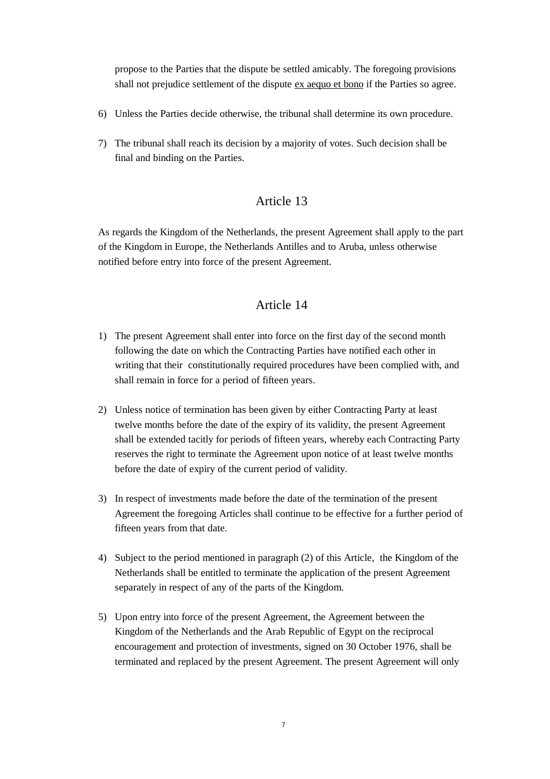propose to the Parties that the dispute be settled amicably. The foregoing provisions shall not prejudice settlement of the dispute ex aequo et bono if the Parties so agree.

- 6) Unless the Parties decide otherwise, the tribunal shall determine its own procedure.
- 7) The tribunal shall reach its decision by a majority of votes. Such decision shall be final and binding on the Parties.

### Article 13

As regards the Kingdom of the Netherlands, the present Agreement shall apply to the part of the Kingdom in Europe, the Netherlands Antilles and to Aruba, unless otherwise notified before entry into force of the present Agreement.

### Article 14

- 1) The present Agreement shall enter into force on the first day of the second month following the date on which the Contracting Parties have notified each other in writing that their constitutionally required procedures have been complied with, and shall remain in force for a period of fifteen years.
- 2) Unless notice of termination has been given by either Contracting Party at least twelve months before the date of the expiry of its validity, the present Agreement shall be extended tacitly for periods of fifteen years, whereby each Contracting Party reserves the right to terminate the Agreement upon notice of at least twelve months before the date of expiry of the current period of validity.
- 3) In respect of investments made before the date of the termination of the present Agreement the foregoing Articles shall continue to be effective for a further period of fifteen years from that date.
- 4) Subject to the period mentioned in paragraph (2) of this Article, the Kingdom of the Netherlands shall be entitled to terminate the application of the present Agreement separately in respect of any of the parts of the Kingdom.
- 5) Upon entry into force of the present Agreement, the Agreement between the Kingdom of the Netherlands and the Arab Republic of Egypt on the reciprocal encouragement and protection of investments, signed on 30 October 1976, shall be terminated and replaced by the present Agreement. The present Agreement will only